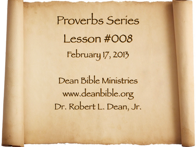Proverbs Series Lesson #008 February 17, 2013

Dean Bible Ministries [www.deanbible.org](http://www.deanbible.org) [Dr. Robert L. Dean, Jr.](http://www.deanbible.org)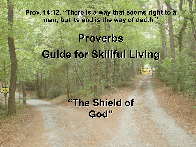**Prov. 14:12, "There is a way that seems right to a man, but its end is the way of death."**

# **Proverbs Guide for Skillful Living**

**DEATH**



**LIFE**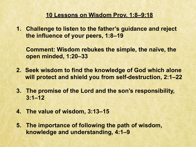#### **10 Lessons on Wisdom Prov. 1:8–9:18**

**1. Challenge to listen to the father's guidance and reject the influence of your peers, 1:8–19**

**Comment: Wisdom rebukes the simple, the naïve, the open minded, 1:20–33**

- **2. Seek wisdom to find the knowledge of God which alone will protect and shield you from self-destruction, 2:1–22**
- **3. The promise of the Lord and the son's responsibility, 3:1–12**
- **4. The value of wisdom, 3:13–15**
- **5. The importance of following the path of wisdom, knowledge and understanding, 4:1–9**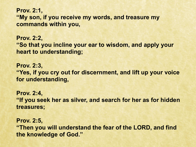**Prov. 2:1, "My son, if you receive my words, and treasure my commands within you,**

**Prov. 2:2, "So that you incline your ear to wisdom, and apply your heart to understanding;**

**Prov. 2:3, "Yes, if you cry out for discernment, and lift up your voice for understanding,** 

**Prov. 2:4, "If you seek her as silver, and search for her as for hidden treasures;** 

**Prov. 2:5, "Then you will understand the fear of the LORD, and find the knowledge of God."**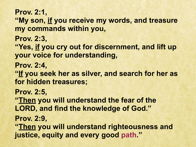**Prov. 2:1,**

**"My son, if you receive my words, and treasure my commands within you,** 

**Prov. 2:3,**

**"Yes, if you cry out for discernment, and lift up your voice for understanding,**

**Prov. 2:4,**

**"If you seek her as silver, and search for her as for hidden treasures;**

**Prov. 2:5,**

**"Then you will understand the fear of the LORD, and find the knowledge of God."** 

**Prov. 2:9,** 

**"Then you will understand righteousness and justice, equity and every good path."**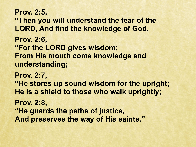**Prov. 2:5, "Then you will understand the fear of the LORD, And find the knowledge of God. Prov. 2:6, "For the LORD gives wisdom; From His mouth come knowledge and understanding; Prov. 2:7, "He stores up sound wisdom for the upright; He is a shield to those who walk uprightly;** 

**Prov. 2:8,**

**"He guards the paths of justice,** 

**And preserves the way of His saints."**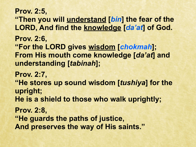**Prov. 2:5, "Then you will understand [***bin***] the fear of the LORD, And find the knowledge [***da'at***] of God. Prov. 2:6, "For the LORD gives wisdom [***chokmah***]; From His mouth come knowledge [***da'at***] and understanding [***tabinah***]; Prov. 2:7, "He stores up sound wisdom [***tushiya***] for the upright; He is a shield to those who walk uprightly; Prov. 2:8, "He guards the paths of justice, And preserves the way of His saints."**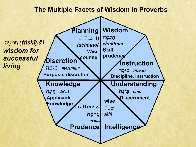#### **The Multiple Facets of Wisdom in Proverbs**

**Wisdom h**טֹלֹטָ *chokhma* **Skill, prudence Instruction rDs…wm** *musar* **Discipline, instruction Understanding**  $h$ *ina*  **Discernment craftiness |עֲרְמָה** *{orma*  **Prudence wise lkc l** *skhl* **Intelligence Knowledge**  $\mathbf{u}$ יצה *da<sup>c</sup>at*  **Applicable knowledge Discretion hD;mˆzVm** *mezimma* **Purpose, discretion Planning תחבולות** *tachbulot*  **Wise counsel hD¥yIv…w;t** *(tu®shˆîya®) wisdom for successful living*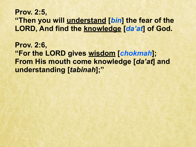## **Prov. 2:5, "Then you will understand [***bin***] the fear of the LORD, And find the knowledge [***da'at***] of God.**

**Prov. 2:6, "For the LORD gives wisdom [***chokmah***]; From His mouth come knowledge [***da'at***] and understanding [***tabinah***];"**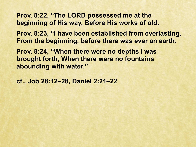**Prov. 8:22, "The LORD possessed me at the beginning of His way, Before His works of old.** 

**Prov. 8:23, "I have been established from everlasting, From the beginning, before there was ever an earth.** 

**Prov. 8:24, "When there were no depths I was brought forth, When there were no fountains abounding with water."**

**cf., Job 28:12–28, Daniel 2:21–22**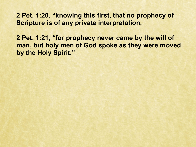**2 Pet. 1:20, "knowing this first, that no prophecy of Scripture is of any private interpretation,** 

**2 Pet. 1:21, "for prophecy never came by the will of man, but holy men of God spoke as they were moved by the Holy Spirit."**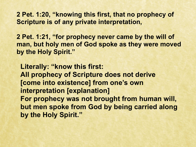**2 Pet. 1:20, "knowing this first, that no prophecy of Scripture is of any private interpretation,** 

**2 Pet. 1:21, "for prophecy never came by the will of man, but holy men of God spoke as they were moved by the Holy Spirit."** 

 **Literally: "know this first: All prophecy of Scripture does not derive [come into existence] from one's own interpretation [explanation] For prophecy was not brought from human will, but men spoke from God by being carried along by the Holy Spirit."**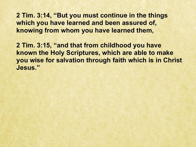**2 Tim. 3:14, "But you must continue in the things which you have learned and been assured of, knowing from whom you have learned them,**

**2 Tim. 3:15, "and that from childhood you have known the Holy Scriptures, which are able to make you wise for salvation through faith which is in Christ Jesus."**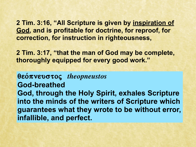**2 Tim. 3:16, "All Scripture is given by inspiration of God, and is profitable for doctrine, for reproof, for correction, for instruction in righteousness,** 

**2 Tim. 3:17, "that the man of God may be complete, thoroughly equipped for every good work."**

## **qeo/pneustoß** *theopneustos* **God-breathed God, through the Holy Spirit, exhales Scripture into the minds of the writers of Scripture which guarantees what they wrote to be without error, infallible, and perfect.**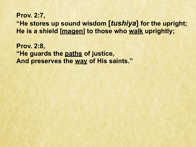### **Prov. 2:7, "He stores up sound wisdom [***tushiya***] for the upright; He is a shield [magen] to those who walk uprightly;**

**Prov. 2:8, "He guards the paths of justice, And preserves the way of His saints."**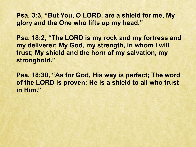**Psa. 3:3, "But You, O LORD, are a shield for me, My glory and the One who lifts up my head."**

**Psa. 18:2, "The LORD is my rock and my fortress and my deliverer; My God, my strength, in whom I will trust; My shield and the horn of my salvation, my stronghold."**

**Psa. 18:30, "As for God, His way is perfect; The word of the LORD is proven; He is a shield to all who trust in Him."**